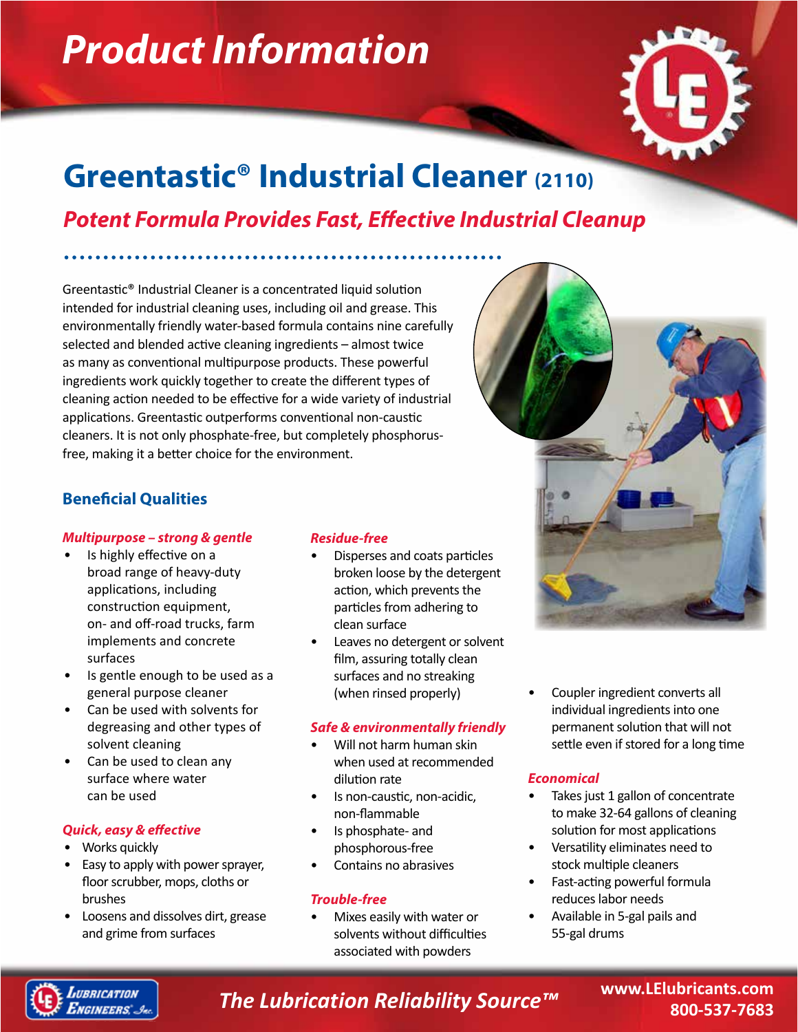# *Product Information*



## **Greentastic® Industrial Cleaner (2110)**

## *Potent Formula Provides Fast, Effective Industrial Cleanup*

Greentastic® Industrial Cleaner is a concentrated liquid solution intended for industrial cleaning uses, including oil and grease. This environmentally friendly water-based formula contains nine carefully selected and blended active cleaning ingredients – almost twice as many as conventional multipurpose products. These powerful ingredients work quickly together to create the different types of cleaning action needed to be effective for a wide variety of industrial applications. Greentastic outperforms conventional non-caustic cleaners. It is not only phosphate-free, but completely phosphorusfree, making it a better choice for the environment.

## **Beneficial Qualities**

## *Multipurpose – strong & gentle*

- Is highly effective on a broad range of heavy-duty applications, including construction equipment, on- and off-road trucks, farm implements and concrete surfaces
- Is gentle enough to be used as a general purpose cleaner
- Can be used with solvents for degreasing and other types of solvent cleaning
- Can be used to clean any surface where water can be used

## *Quick, easy & effective*

- Works quickly
- Easy to apply with power sprayer, floor scrubber, mops, cloths or brushes
- Loosens and dissolves dirt, grease and grime from surfaces

## *Residue-free*

- Disperses and coats particles broken loose by the detergent action, which prevents the particles from adhering to clean surface
- Leaves no detergent or solvent film, assuring totally clean surfaces and no streaking (when rinsed properly)

## *Safe & environmentally friendly*

- Will not harm human skin when used at recommended dilution rate
- Is non-caustic, non-acidic, non-flammable
- Is phosphate- and phosphorous-free
- Contains no abrasives

## *Trouble-free*

• Mixes easily with water or solvents without difficulties associated with powders

• Coupler ingredient converts all individual ingredients into one permanent solution that will not settle even if stored for a long time

## *Economical*

- Takes just 1 gallon of concentrate to make 32-64 gallons of cleaning solution for most applications
- Versatility eliminates need to stock multiple cleaners
- Fast-acting powerful formula reduces labor needs
- Available in 5-gal pails and 55-gal drums



*The Lubrication Reliability Source™*

**www.LElubricants.com 800-537-7683**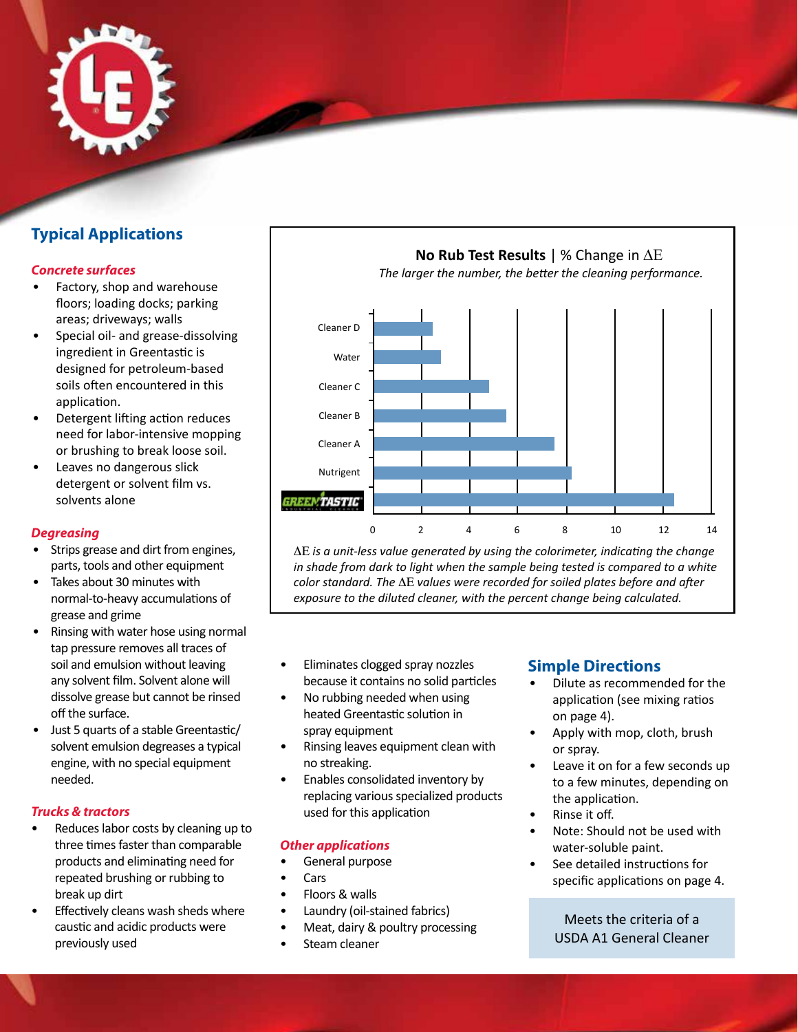

## **Typical Applications**

## *Concrete surfaces*

- Factory, shop and warehouse floors; loading docks; parking areas; driveways; walls
- Special oil- and grease-dissolving ingredient in Greentastic is designed for petroleum-based soils often encountered in this application.
- Detergent lifting action reduces need for labor-intensive mopping or brushing to break loose soil.
- Leaves no dangerous slick detergent or solvent film vs. solvents alone

## *Degreasing*

- Strips grease and dirt from engines, parts, tools and other equipment
- Takes about 30 minutes with normal-to-heavy accumulations of grease and grime
- Rinsing with water hose using normal tap pressure removes all traces of soil and emulsion without leaving any solvent film. Solvent alone will dissolve grease but cannot be rinsed off the surface.
- Just 5 quarts of a stable Greentastic/ solvent emulsion degreases a typical engine, with no special equipment needed.

## *Trucks & tractors*

- Reduces labor costs by cleaning up to three times faster than comparable products and eliminating need for repeated brushing or rubbing to break up dirt
- Effectively cleans wash sheds where caustic and acidic products were previously used



ΔE *is a unit-less value generated by using the colorimeter, indicating the change in shade from dark to light when the sample being tested is compared to a white color standard. The* ΔE *values were recorded for soiled plates before and after exposure to the diluted cleaner, with the percent change being calculated.*

- Eliminates clogged spray nozzles because it contains no solid particles
- No rubbing needed when using heated Greentastic solution in spray equipment
- Rinsing leaves equipment clean with no streaking.
- Enables consolidated inventory by replacing various specialized products used for this application

## *Other applications*

- General purpose
- Cars
- Floors & walls
- Laundry (oil-stained fabrics)
- Meat, dairy & poultry processing
- Steam cleaner

## **Simple Directions**

- Dilute as recommended for the application (see mixing ratios on page 4).
- Apply with mop, cloth, brush or spray.
- Leave it on for a few seconds up to a few minutes, depending on the application.
- Rinse it off.
- Note: Should not be used with water-soluble paint.
- See detailed instructions for specific applications on page 4.

Meets the criteria of a USDA A1 General Cleaner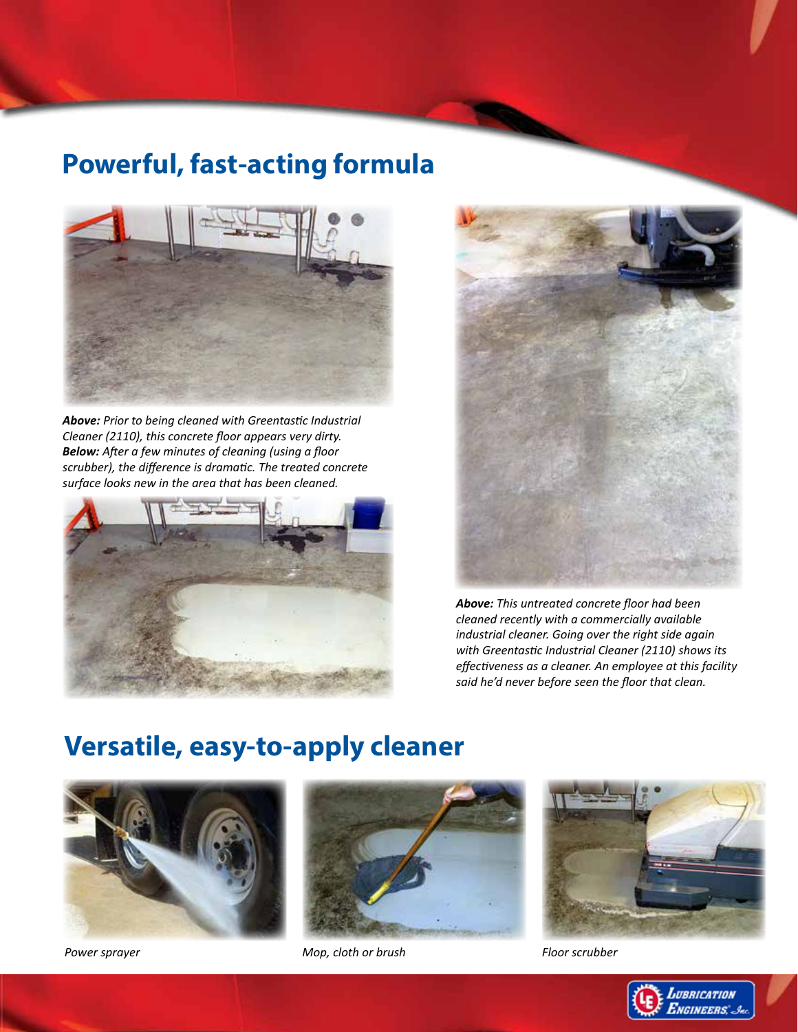## **Powerful, fast-acting formula**



*Above: Prior to being cleaned with Greentastic Industrial Cleaner (2110), this concrete floor appears very dirty. Below: After a few minutes of cleaning (using a floor scrubber), the difference is dramatic. The treated concrete surface looks new in the area that has been cleaned.*





*Above: This untreated concrete floor had been cleaned recently with a commercially available industrial cleaner. Going over the right side again with Greentastic Industrial Cleaner (2110) shows its effectiveness as a cleaner. An employee at this facility said he'd never before seen the floor that clean.*

## **Versatile, easy-to-apply cleaner**





*Power sprayer Mop, cloth or brush Floor scrubber*